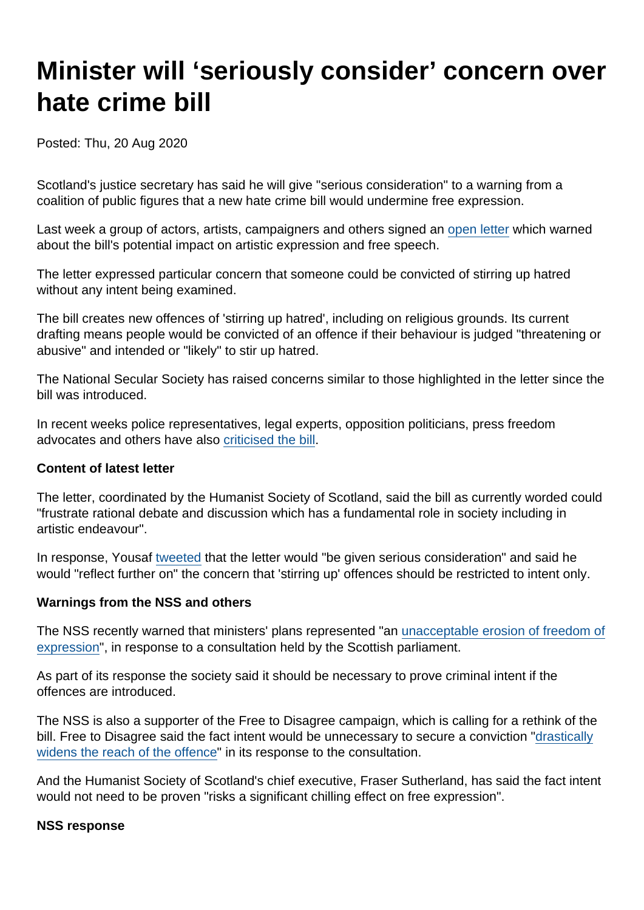# Minister will 'seriously consider' concern over hate crime bill

Posted: Thu, 20 Aug 2020

Scotland's justice secretary has said he will give "serious consideration" to a warning from a coalition of public figures that a new hate crime bill would undermine free expression.

Last week a group of actors, artists, campaigners and others signed an [open letter](https://www.humanism.scot/what-we-do/news/coalition-of-artists-authors-journalists-and-campaigners-call-for-changes-to-hate-crime-bill/) which warned about the bill's potential impact on artistic expression and free speech.

The letter expressed particular concern that someone could be convicted of stirring up hatred without any intent being examined.

The bill creates new offences of 'stirring up hatred', including on religious grounds. Its current drafting means people would be convicted of an offence if their behaviour is judged "threatening or abusive" and intended or "likely" to stir up hatred.

The National Secular Society has raised concerns similar to those highlighted in the letter since the bill was introduced.

In recent weeks police representatives, legal experts, opposition politicians, press freedom advocates and others have also [criticised the bill](https://www.secularism.org.uk/news/2020/07/widespread-concern-over-hate-crime-bill-must-prompt-rethink-says-nss).

Content of latest letter

The letter, coordinated by the Humanist Society of Scotland, said the bill as currently worded could "frustrate rational debate and discussion which has a fundamental role in society including in artistic endeavour".

In response, Yousaf [tweeted](https://twitter.com/HumzaYousaf/status/1293122049398001666) that the letter would "be given serious consideration" and said he would "reflect further on" the concern that 'stirring up' offences should be restricted to intent only.

Warnings from the NSS and others

The NSS recently warned that ministers' plans represented "an [unacceptable erosion of freedom of](https://www.secularism.org.uk/news/2020/07/dont-erode-free-speech-nss-warns-scottish-parliament) [expression](https://www.secularism.org.uk/news/2020/07/dont-erode-free-speech-nss-warns-scottish-parliament)", in response to a consultation held by the Scottish parliament.

As part of its response the society said it should be necessary to prove criminal intent if the offences are introduced.

The NSS is also a supporter of the Free to Disagree campaign, which is calling for a rethink of the bill. Free to Disagree said the fact intent would be unnecessary to secure a conviction ["drastically](https://freetodisagree.scot/wp-content/uploads/2020/07/Free-to-Disagree-campaign-response-to-Hate-Crime-Bill-call-for-views.pdf) [widens the reach of the offence"](https://freetodisagree.scot/wp-content/uploads/2020/07/Free-to-Disagree-campaign-response-to-Hate-Crime-Bill-call-for-views.pdf) in its response to the consultation.

And the Humanist Society of Scotland's chief executive, Fraser Sutherland, has said the fact intent would not need to be proven "risks a significant chilling effect on free expression".

NSS response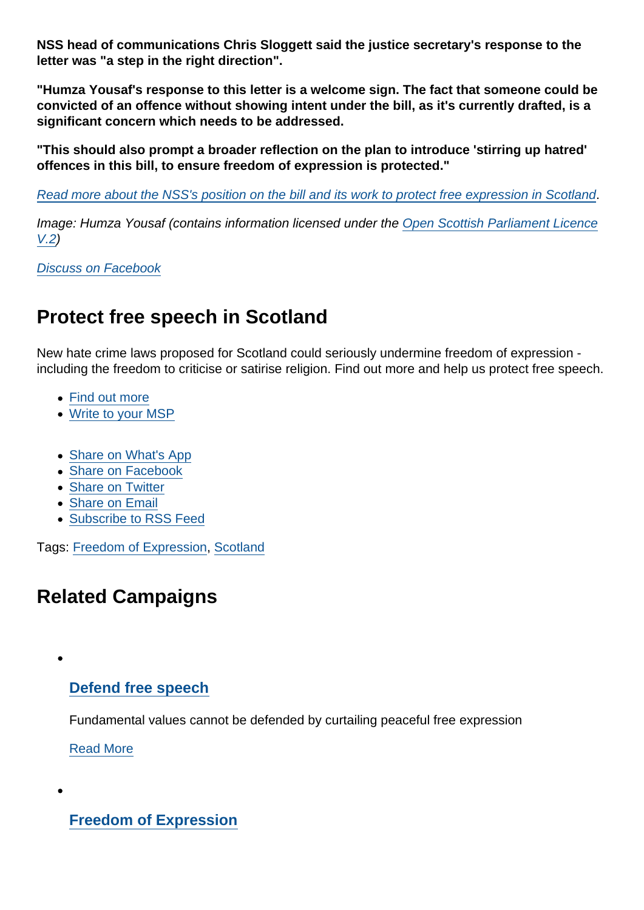NSS head of communications Chris Sloggett said the justice secretary's response to the letter was "a step in the right direction".

"Humza Yousaf's response to this letter is a welcome sign. The fact that someone could be convicted of an offence without showing intent under the bill, as it's currently drafted, is a significant concern which needs to be addressed.

"This should also prompt a broader reflection on the plan to introduce 'stirring up hatred' offences in this bill, to ensure freedom of expression is protected."

[Read more about the NSS's position on the bill and its work to protect free expression in Scotland](https://www.secularism.org.uk/free-expression/scottish-hate-crime-bill.html).

Image: Humza Yousaf (contains information licensed under the [Open Scottish Parliament Licence](http://www.parliament.scot/Fol/OpenScottishParliamentLicence.pdf) [V.2](http://www.parliament.scot/Fol/OpenScottishParliamentLicence.pdf))

[Discuss on Facebook](https://www.facebook.com/NationalSecularSociety/posts/3236422169759445?__xts__[0]=68.ARCGE743mnMzH00CkbZToU4BnG_O9TnhkWnRfX31tSfbz2UFh_vQ04MM8fgGDmarm2KHXJ9x9O7HtAun7OLZei5HHuepcmAIZC6-uOtYMVIkr9mt_R7pMhkkg4o6QN504kyRyloSFqkxpQyaMM0t_w0prXCD9ettiSECd4n9nk_-nhjMrxtthxaIqwoPywgSqKBsycR1QexwsBnvwLU2xXkgXUfg2wauC7PwtLCd1krJG3iR9-RQ1K_cmCEoMxaBRU9nz2-fuj2_u9mXIH2YTw-A7HySN9p2BJxthll6ZTxEK-nR6G4N1sZJQgkO9kKDe43uGZRMsj9TWSvcvBfstUEMtA&__tn__=-R)

# Protect free speech in Scotland

New hate crime laws proposed for Scotland could seriously undermine freedom of expression including the freedom to criticise or satirise religion. Find out more and help us protect free speech.

- [Find out more](https://www.secularism.org.uk/free-expression/scottish-hate-crime-bill.html)
- [Write to your MSP](https://www.secularism.org.uk/free-expression/write-to-your-msp.html)
- [Share on What's App](whatsapp://send?text=http://www.secularism.org.uk/news/2020/08/minister-will-seriously-consider-concern-over-hate-crime-bill?format=pdf)
- [Share on Facebook](https://www.facebook.com/sharer/sharer.php?u=http://www.secularism.org.uk/news/2020/08/minister-will-seriously-consider-concern-over-hate-crime-bill?format=pdf&t=Minister+will+‘seriously+consider’+concern+over+hate+crime+bill)
- [Share on Twitter](https://twitter.com/intent/tweet?url=http://www.secularism.org.uk/news/2020/08/minister-will-seriously-consider-concern-over-hate-crime-bill?format=pdf&text=Minister+will+‘seriously+consider’+concern+over+hate+crime+bill&via=NatSecSoc)
- [Share on Email](https://www.secularism.org.uk/share.html?url=http://www.secularism.org.uk/news/2020/08/minister-will-seriously-consider-concern-over-hate-crime-bill?format=pdf&title=Minister+will+‘seriously+consider’+concern+over+hate+crime+bill)
- [Subscribe to RSS Feed](/mnt/web-data/www/cp-nss/feeds/rss/news)

Tags: [Freedom of Expression](https://www.secularism.org.uk/news/tags/Freedom+of+Expression), [Scotland](https://www.secularism.org.uk/news/tags/Scotland)

## Related Campaigns

[Defend free speech](https://www.secularism.org.uk/defend-free-speech/)

Fundamental values cannot be defended by curtailing peaceful free expression

[Read More](https://www.secularism.org.uk/defend-free-speech/)

[Freedom of Expression](https://www.secularism.org.uk/free-expression/)